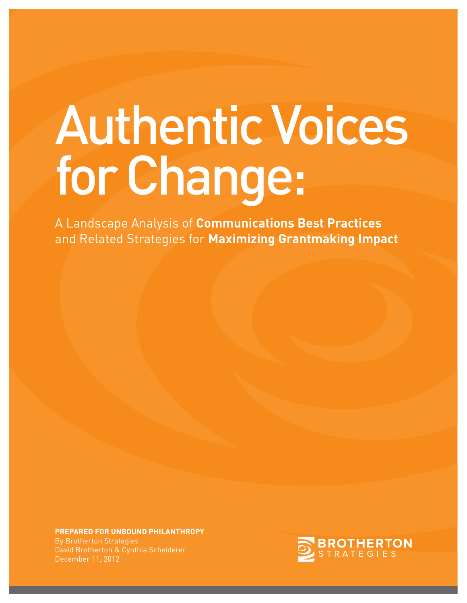# Authentic Voices for Change:

A Landscape Analysis of **Communications Best Practices**  and Related Strategies for **Maximizing Grantmaking Impact**

 $U$  and  $U$  and  $U$  are  $\mathcal{U}$  and  $\mathcal{U}$  and  $\mathcal{U}$  are  $\mathcal{U}$  and  $\mathcal{U}$  and  $\mathcal{U}$  and  $\mathcal{U}$  and  $\mathcal{U}$  are  $\mathcal{U}$  and  $\mathcal{U}$  and  $\mathcal{U}$  are  $\mathcal{U}$  and  $\mathcal{U}$  and  $\mathcal{U}$  are  $\mathcal{U}$  and  $\$ 

**PREPARED FOR UNBOUND PHILANTHROPY** By Brotherton Strategies David Brotherton & Cynthia Scheiderer December 11, 2012

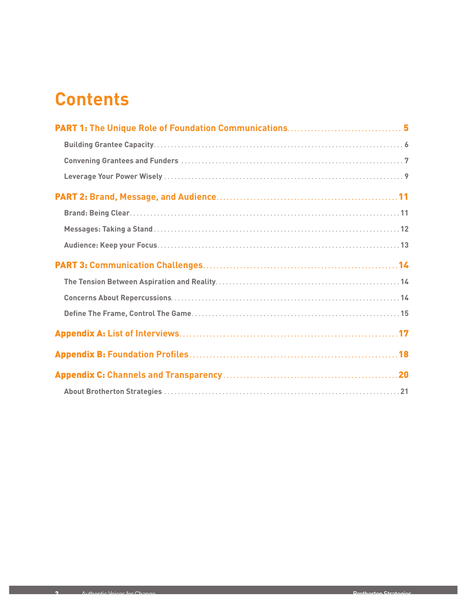# **Contents**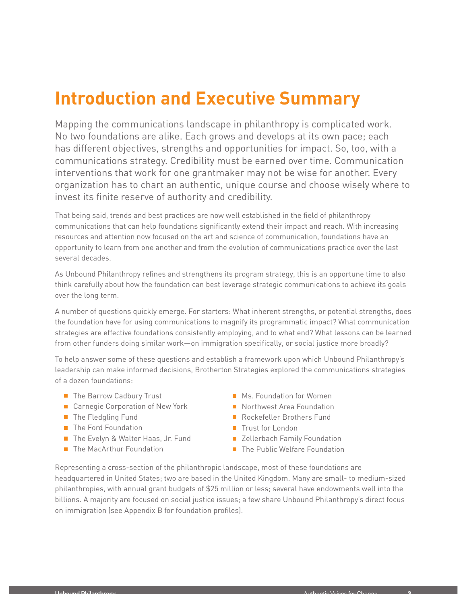# **Introduction and Executive Summary**

Mapping the communications landscape in philanthropy is complicated work. No two foundations are alike. Each grows and develops at its own pace; each has different objectives, strengths and opportunities for impact. So, too, with a communications strategy. Credibility must be earned over time. Communication interventions that work for one grantmaker may not be wise for another. Every organization has to chart an authentic, unique course and choose wisely where to invest its finite reserve of authority and credibility.

That being said, trends and best practices are now well established in the field of philanthropy communications that can help foundations significantly extend their impact and reach. With increasing resources and attention now focused on the art and science of communication, foundations have an opportunity to learn from one another and from the evolution of communications practice over the last several decades.

As Unbound Philanthropy refines and strengthens its program strategy, this is an opportune time to also think carefully about how the foundation can best leverage strategic communications to achieve its goals over the long term.

A number of questions quickly emerge. For starters: What inherent strengths, or potential strengths, does the foundation have for using communications to magnify its programmatic impact? What communication strategies are effective foundations consistently employing, and to what end? What lessons can be learned from other funders doing similar work—on immigration specifically, or social justice more broadly?

To help answer some of these questions and establish a framework upon which Unbound Philanthropy's leadership can make informed decisions, Brotherton Strategies explored the communications strategies of a dozen foundations:

- The Barrow Cadbury Trust
- Carnegie Corporation of New York
- The Fledgling Fund
- The Ford Foundation
- The Evelyn & Walter Haas, Jr. Fund
- **The MacArthur Foundation**
- **Ms. Foundation for Women**
- Northwest Area Foundation
- **Rockefeller Brothers Fund**
- Trust for London
- Zellerbach Family Foundation
- **The Public Welfare Foundation**

Representing a cross-section of the philanthropic landscape, most of these foundations are headquartered in United States; two are based in the United Kingdom. Many are small- to medium-sized philanthropies, with annual grant budgets of \$25 million or less; several have endowments well into the billions. A majority are focused on social justice issues; a few share Unbound Philanthropy's direct focus on immigration (see Appendix B for foundation profiles).

Unbound Philanthropy AuthenticVoices forChange 3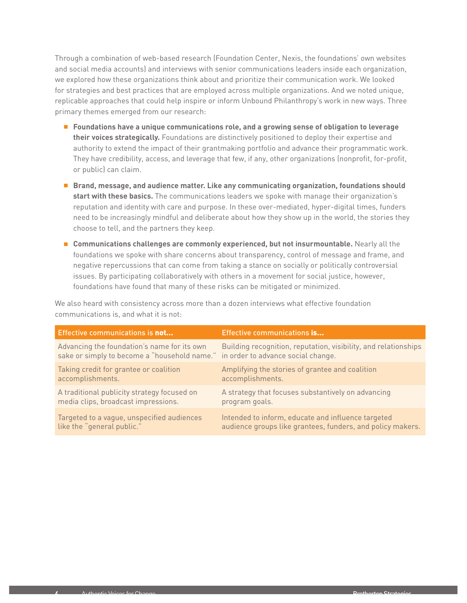Through a combination of web-based research (Foundation Center, Nexis, the foundations' own websites and social media accounts) and interviews with senior communications leaders inside each organization, we explored how these organizations think about and prioritize their communication work. We looked for strategies and best practices that are employed across multiple organizations. And we noted unique, replicable approaches that could help inspire or inform Unbound Philanthropy's work in new ways. Three primary themes emerged from our research:

- **Foundations have a unique communications role, and a growing sense of obligation to leverage their voices strategically.** Foundations are distinctively positioned to deploy their expertise and authority to extend the impact of their grantmaking portfolio and advance their programmatic work. They have credibility, access, and leverage that few, if any, other organizations (nonprofit, for-profit, or public) can claim.
- **Brand, message, and audience matter. Like any communicating organization, foundations should start with these basics.** The communications leaders we spoke with manage their organization's reputation and identity with care and purpose. In these over-mediated, hyper-digital times, funders need to be increasingly mindful and deliberate about how they show up in the world, the stories they choose to tell, and the partners they keep.
- **Communications challenges are commonly experienced, but not insurmountable.** Nearly all the foundations we spoke with share concerns about transparency, control of message and frame, and negative repercussions that can come from taking a stance on socially or politically controversial issues. By participating collaboratively with others in a movement for social justice, however, foundations have found that many of these risks can be mitigated or minimized.

We also heard with consistency across more than a dozen interviews what effective foundation communications is, and what it is not:

| Effective communications is not                                                                                                | Effective communications is                                     |
|--------------------------------------------------------------------------------------------------------------------------------|-----------------------------------------------------------------|
| Advancing the foundation's name for its own<br>sake or simply to become a "household name." in order to advance social change. | Building recognition, reputation, visibility, and relationships |
| Taking credit for grantee or coalition                                                                                         | Amplifying the stories of grantee and coalition                 |
| accomplishments.                                                                                                               | accomplishments.                                                |
| A traditional publicity strategy focused on                                                                                    | A strategy that focuses substantively on advancing              |
| media clips, broadcast impressions.                                                                                            | program goals.                                                  |
| Targeted to a vague, unspecified audiences                                                                                     | Intended to inform, educate and influence targeted              |
| like the "general public."                                                                                                     | audience groups like grantees, funders, and policy makers.      |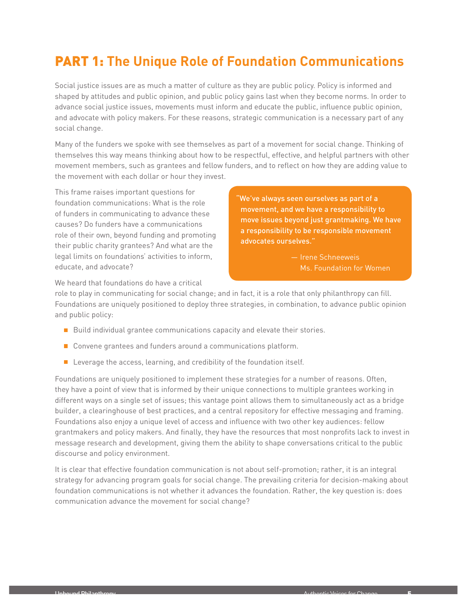# PART 1: **The Unique Role of Foundation Communications**

Social justice issues are as much a matter of culture as they are public policy. Policy is informed and shaped by attitudes and public opinion, and public policy gains last when they become norms. In order to advance social justice issues, movements must inform and educate the public, influence public opinion, and advocate with policy makers. For these reasons, strategic communication is a necessary part of any social change.

Many of the funders we spoke with see themselves as part of a movement for social change. Thinking of themselves this way means thinking about how to be respectful, effective, and helpful partners with other movement members, such as grantees and fellow funders, and to reflect on how they are adding value to the movement with each dollar or hour they invest.

This frame raises important questions for foundation communications: What is the role of funders in communicating to advance these causes? Do funders have a communications role of their own, beyond funding and promoting their public charity grantees? And what are the legal limits on foundations' activities to inform, educate, and advocate?

"We've always seen ourselves as part of a movement, and we have a responsibility to move issues beyond just grantmaking. We have a responsibility to be responsible movement advocates ourselves."

> — Irene Schneeweis Ms. Foundation for Women

We heard that foundations do have a critical

role to play in communicating for social change; and in fact, it is a role that only philanthropy can fill. Foundations are uniquely positioned to deploy three strategies, in combination, to advance public opinion and public policy:

- Build individual grantee communications capacity and elevate their stories.
- Convene grantees and funders around a communications platform.
- $\blacksquare$  Leverage the access, learning, and credibility of the foundation itself.

Foundations are uniquely positioned to implement these strategies for a number of reasons. Often, they have a point of view that is informed by their unique connections to multiple grantees working in different ways on a single set of issues; this vantage point allows them to simultaneously act as a bridge builder, a clearinghouse of best practices, and a central repository for effective messaging and framing. Foundations also enjoy a unique level of access and influence with two other key audiences: fellow grantmakers and policy makers. And finally, they have the resources that most nonprofits lack to invest in message research and development, giving them the ability to shape conversations critical to the public discourse and policy environment.

It is clear that effective foundation communication is not about self-promotion; rather, it is an integral strategy for advancing program goals for social change. The prevailing criteria for decision-making about foundation communications is not whether it advances the foundation. Rather, the key question is: does communication advance the movement for social change?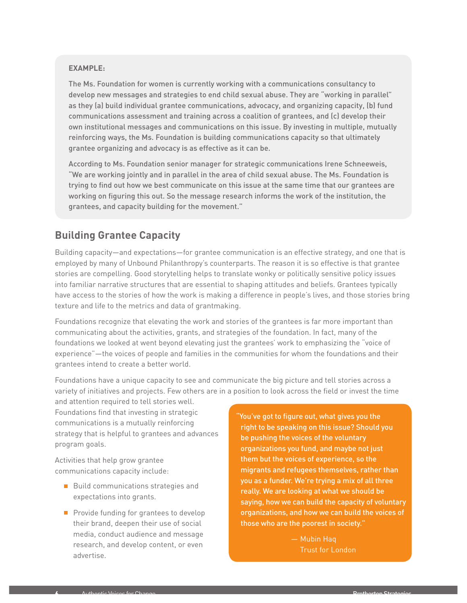#### **EXAMPLE:**

The Ms. Foundation for women is currently working with a communications consultancy to develop new messages and strategies to end child sexual abuse. They are "working in parallel" as they (a) build individual grantee communications, advocacy, and organizing capacity, (b) fund communications assessment and training across a coalition of grantees, and (c) develop their own institutional messages and communications on this issue. By investing in multiple, mutually reinforcing ways, the Ms. Foundation is building communications capacity so that ultimately grantee organizing and advocacy is as effective as it can be.

According to Ms. Foundation senior manager for strategic communications Irene Schneeweis, "We are working jointly and in parallel in the area of child sexual abuse. The Ms. Foundation is trying to find out how we best communicate on this issue at the same time that our grantees are working on figuring this out. So the message research informs the work of the institution, the grantees, and capacity building for the movement."

## **Building Grantee Capacity**

Building capacity—and expectations—for grantee communication is an effective strategy, and one that is employed by many of Unbound Philanthropy's counterparts. The reason it is so effective is that grantee stories are compelling. Good storytelling helps to translate wonky or politically sensitive policy issues into familiar narrative structures that are essential to shaping attitudes and beliefs. Grantees typically have access to the stories of how the work is making a difference in people's lives, and those stories bring texture and life to the metrics and data of grantmaking.

Foundations recognize that elevating the work and stories of the grantees is far more important than communicating about the activities, grants, and strategies of the foundation. In fact, many of the foundations we looked at went beyond elevating just the grantees' work to emphasizing the "voice of experience"—the voices of people and families in the communities for whom the foundations and their grantees intend to create a better world.

Foundations have a unique capacity to see and communicate the big picture and tell stories across a variety of initiatives and projects. Few others are in a position to look across the field or invest the time

and attention required to tell stories well. Foundations find that investing in strategic communications is a mutually reinforcing strategy that is helpful to grantees and advances program goals.

Activities that help grow grantee communications capacity include:

- **Build communications strategies and** expectations into grants.
- **Provide funding for grantees to develop** their brand, deepen their use of social media, conduct audience and message research, and develop content, or even advertise.

"You've got to figure out, what gives you the right to be speaking on this issue? Should you be pushing the voices of the voluntary organizations you fund, and maybe not just them but the voices of experience, so the migrants and refugees themselves, rather than you as a funder. We're trying a mix of all three really. We are looking at what we should be saying, how we can build the capacity of voluntary organizations, and how we can build the voices of those who are the poorest in society."

> — Mubin Haq Trust for London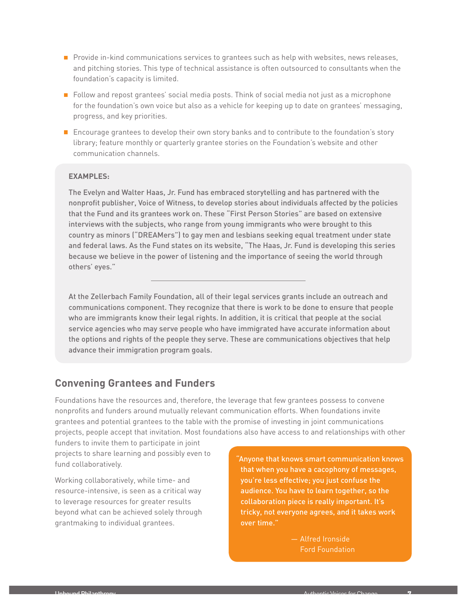- **Provide in-kind communications services to grantees such as help with websites, news releases,** and pitching stories. This type of technical assistance is often outsourced to consultants when the foundation's capacity is limited.
- **Follow and repost grantees' social media posts. Think of social media not just as a microphone** for the foundation's own voice but also as a vehicle for keeping up to date on grantees' messaging, progress, and key priorities.
- **E** Encourage grantees to develop their own story banks and to contribute to the foundation's story library; feature monthly or quarterly grantee stories on the Foundation's website and other communication channels.

#### **EXAMPLES:**

The Evelyn and Walter Haas, Jr. Fund has embraced storytelling and has partnered with the nonprofit publisher, Voice of Witness, to develop stories about individuals affected by the policies that the Fund and its grantees work on. These "First Person Stories" are based on extensive interviews with the subjects, who range from young immigrants who were brought to this country as minors ("DREAMers") to gay men and lesbians seeking equal treatment under state and federal laws. As the Fund states on its website, "The Haas, Jr. Fund is developing this series because we believe in the power of listening and the importance of seeing the world through others' eyes."

At the Zellerbach Family Foundation, all of their legal services grants include an outreach and communications component. They recognize that there is work to be done to ensure that people who are immigrants know their legal rights. In addition, it is critical that people at the social service agencies who may serve people who have immigrated have accurate information about the options and rights of the people they serve. These are communications objectives that help advance their immigration program goals.

#### **Convening Grantees and Funders**

Foundations have the resources and, therefore, the leverage that few grantees possess to convene nonprofits and funders around mutually relevant communication efforts. When foundations invite grantees and potential grantees to the table with the promise of investing in joint communications projects, people accept that invitation. Most foundations also have access to and relationships with other

funders to invite them to participate in joint projects to share learning and possibly even to fund collaboratively.

Working collaboratively, while time- and resource-intensive, is seen as a critical way to leverage resources for greater results beyond what can be achieved solely through grantmaking to individual grantees.

"Anyone that knows smart communication knows that when you have a cacophony of messages, you're less effective; you just confuse the audience. You have to learn together, so the collaboration piece is really important. It's tricky, not everyone agrees, and it takes work over time."

> — Alfred Ironside Ford Foundation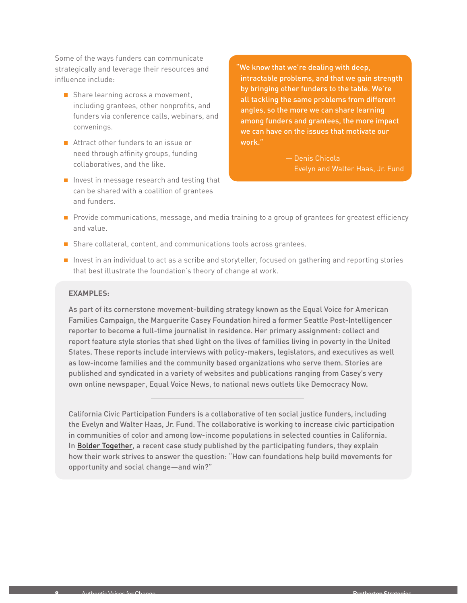Some of the ways funders can communicate strategically and leverage their resources and influence include:

- Share learning across a movement, including grantees, other nonprofits, and funders via conference calls, webinars, and convenings.
- Attract other funders to an issue or need through affinity groups, funding collaboratives, and the like.
- Invest in message research and testing that can be shared with a coalition of grantees and funders.

"We know that we're dealing with deep, intractable problems, and that we gain strength by bringing other funders to the table. We're all tackling the same problems from different angles, so the more we can share learning among funders and grantees, the more impact we can have on the issues that motivate our work."

> — Denis Chicola Evelyn and Walter Haas, Jr. Fund

- **Provide communications, message, and media training to a group of grantees for greatest efficiency** and value.
- Share collateral, content, and communications tools across grantees.
- Invest in an individual to act as a scribe and storyteller, focused on gathering and reporting stories that best illustrate the foundation's theory of change at work.

#### **EXAMPLES:**

As part of its cornerstone movement-building strategy known as the Equal Voice for American Families Campaign, the Marguerite Casey Foundation hired a former Seattle Post-Intelligencer reporter to become a full-time journalist in residence. Her primary assignment: collect and report feature style stories that shed light on the lives of families living in poverty in the United States. These reports include interviews with policy-makers, legislators, and executives as well as low-income families and the community based organizations who serve them. Stories are published and syndicated in a variety of websites and publications ranging from Casey's very own online newspaper, Equal Voice News, to national news outlets like Democracy Now.

California Civic Participation Funders is a collaborative of ten social justice funders, including the Evelyn and Walter Haas, Jr. Fund. The collaborative is working to increase civic participation in communities of color and among low-income populations in selected counties in California. In Bolder Together, a recent case study published by the participating funders, they explain how their work strives to answer the question: "How can foundations help build movements for opportunity and social change—and win?"

8 Authentic Voices for Change Brotherton Strategies (Brotherton Strategies Brotherton Strategies Brotherton Strategies (Brotherton Strategies (Brotherton Strategies (Brotherton Strategies (Brotherton Strategies (Brotherton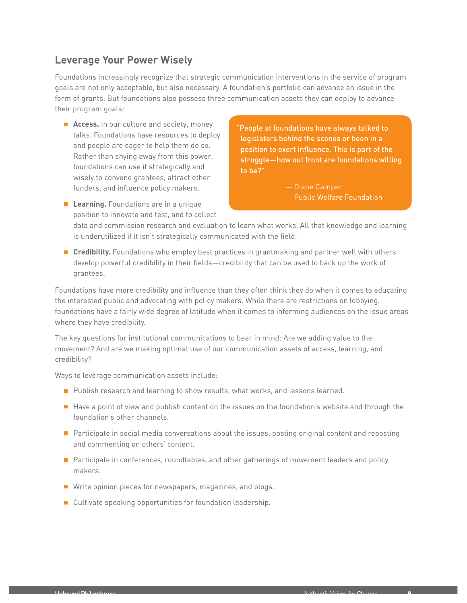## **Leverage Your Power Wisely**

Foundations increasingly recognize that strategic communication interventions in the service of program goals are not only acceptable, but also necessary. A foundation's portfolio can advance an issue in the form of grants. But foundations also possess three communication assets they can deploy to advance their program goals:

■ **Access.** In our culture and society, money talks. Foundations have resources to deploy and people are eager to help them do so. Rather than shying away from this power, foundations can use it strategically and wisely to convene grantees, attract other funders, and influence policy makers.

"People at foundations have always talked to legislators behind the scenes or been in a position to exert influence. This is part of the struggle—how out front are foundations willing to be?"

> — Diane Camper Public Welfare Foundation

**Learning.** Foundations are in a unique position to innovate and test, and to collect

data and commission research and evaluation to learn what works. All that knowledge and learning is underutilized if it isn't strategically communicated with the field.

**Credibility.** Foundations who employ best practices in grantmaking and partner well with others develop powerful credibility in their fields—credibility that can be used to back up the work of grantees.

Foundations have more credibility and influence than they often think they do when it comes to educating the interested public and advocating with policy makers. While there are restrictions on lobbying, foundations have a fairly wide degree of latitude when it comes to informing audiences on the issue areas where they have credibility.

The key questions for institutional communications to bear in mind: Are we adding value to the movement? And are we making optimal use of our communication assets of access, learning, and credibility?

Ways to leverage communication assets include:

- **Publish research and learning to show results, what works, and lessons learned.**
- $\blacksquare$  Have a point of view and publish content on the issues on the foundation's website and through the foundation's other channels.
- **Participate in social media conversations about the issues, posting original content and reposting** and commenting on others' content.
- **Participate in conferences, roundtables, and other gatherings of movement leaders and policy** makers.
- Write opinion pieces for newspapers, magazines, and blogs.
- Cultivate speaking opportunities for foundation leadership.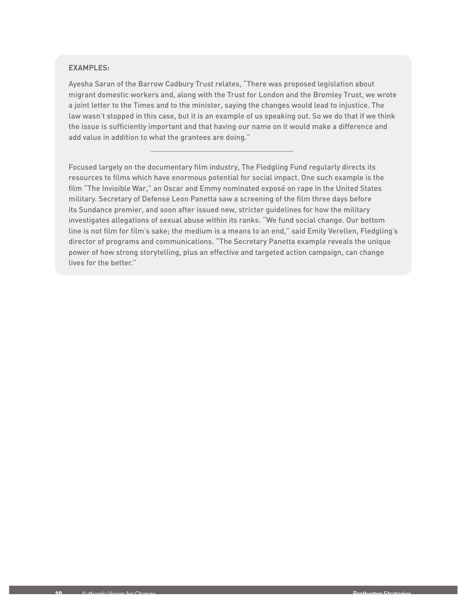#### **EXAMPLES:**

Ayesha Saran of the Barrow Cadbury Trust relates, "There was proposed legislation about migrant domestic workers and, along with the Trust for London and the Bromley Trust, we wrote a joint letter to the Times and to the minister, saying the changes would lead to injustice. The law wasn't stopped in this case, but it is an example of us speaking out. So we do that if we think the issue is sufficiently important and that having our name on it would make a difference and add value in addition to what the grantees are doing."

Focused largely on the documentary film industry, The Fledgling Fund regularly directs its resources to films which have enormous potential for social impact. One such example is the film "The Invisible War," an Oscar and Emmy nominated exposé on rape in the United States military. Secretary of Defense Leon Panetta saw a screening of the film three days before its Sundance premier, and soon after issued new, stricter guidelines for how the military investigates allegations of sexual abuse within its ranks. "We fund social change. Our bottom line is not film for film's sake; the medium is a means to an end," said Emily Verellen, Fledgling's director of programs and communications. "The Secretary Panetta example reveals the unique power of how strong storytelling, plus an effective and targeted action campaign, can change lives for the better."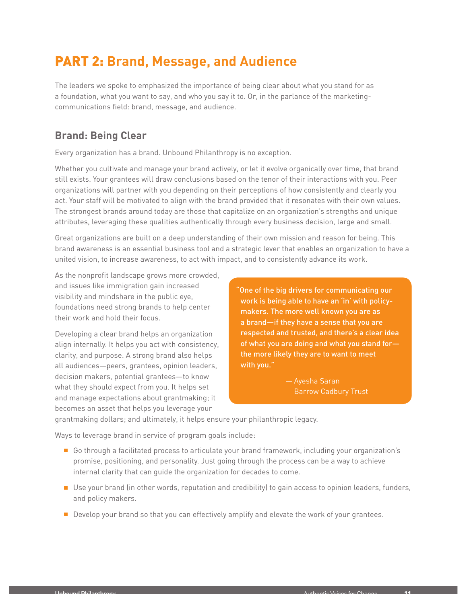# PART 2: **Brand, Message, and Audience**

The leaders we spoke to emphasized the importance of being clear about what you stand for as a foundation, what you want to say, and who you say it to. Or, in the parlance of the marketingcommunications field: brand, message, and audience.

## **Brand: Being Clear**

Every organization has a brand. Unbound Philanthropy is no exception.

Whether you cultivate and manage your brand actively, or let it evolve organically over time, that brand still exists. Your grantees will draw conclusions based on the tenor of their interactions with you. Peer organizations will partner with you depending on their perceptions of how consistently and clearly you act. Your staff will be motivated to align with the brand provided that it resonates with their own values. The strongest brands around today are those that capitalize on an organization's strengths and unique attributes, leveraging these qualities authentically through every business decision, large and small.

Great organizations are built on a deep understanding of their own mission and reason for being. This brand awareness is an essential business tool and a strategic lever that enables an organization to have a united vision, to increase awareness, to act with impact, and to consistently advance its work.

As the nonprofit landscape grows more crowded, and issues like immigration gain increased visibility and mindshare in the public eye, foundations need strong brands to help center their work and hold their focus.

Developing a clear brand helps an organization align internally. It helps you act with consistency, clarity, and purpose. A strong brand also helps all audiences—peers, grantees, opinion leaders, decision makers, potential grantees—to know what they should expect from you. It helps set and manage expectations about grantmaking; it becomes an asset that helps you leverage your

"One of the big drivers for communicating our work is being able to have an 'in' with policymakers. The more well known you are as a brand—if they have a sense that you are respected and trusted, and there's a clear idea of what you are doing and what you stand for the more likely they are to want to meet with you."

> — Ayesha Saran Barrow Cadbury Trust

grantmaking dollars; and ultimately, it helps ensure your philanthropic legacy.

Ways to leverage brand in service of program goals include:

- Go through a facilitated process to articulate your brand framework, including your organization's promise, positioning, and personality. Just going through the process can be a way to achieve internal clarity that can guide the organization for decades to come.
- Use your brand (in other words, reputation and credibility) to gain access to opinion leaders, funders, and policy makers.
- Develop your brand so that you can effectively amplify and elevate the work of your grantees.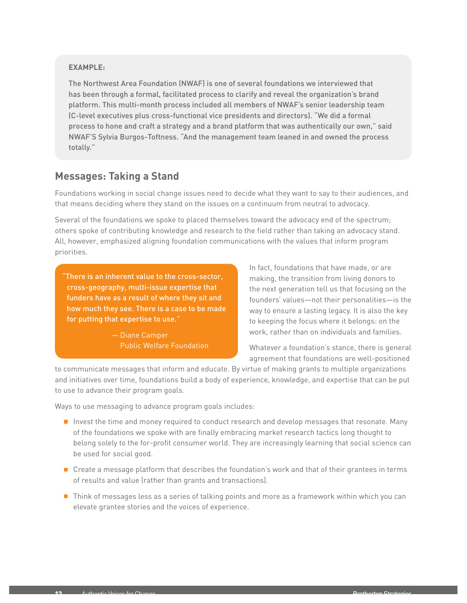#### **EXAMPLE:**

The Northwest Area Foundation (NWAF) is one of several foundations we interviewed that has been through a formal, facilitated process to clarify and reveal the organization's brand platform. This multi-month process included all members of NWAF's senior leadership team (C-level executives plus cross-functional vice presidents and directors). "We did a formal process to hone and craft a strategy and a brand platform that was authentically our own," said NWAF'S Sylvia Burgos-Toftness. "And the management team leaned in and owned the process totally."

### **Messages: Taking a Stand**

Foundations working in social change issues need to decide what they want to say to their audiences, and that means deciding where they stand on the issues on a continuum from neutral to advocacy.

Several of the foundations we spoke to placed themselves toward the advocacy end of the spectrum; others spoke of contributing knowledge and research to the field rather than taking an advocacy stand. All, however, emphasized aligning foundation communications with the values that inform program priorities.

"There is an inherent value to the cross-sector, cross-geography, multi-issue expertise that funders have as a result of where they sit and how much they see. There is a case to be made for putting that expertise to use."

> — Diane Camper Public Welfare Foundation

In fact, foundations that have made, or are making, the transition from living donors to the next generation tell us that focusing on the founders' values—not their personalities—is the way to ensure a lasting legacy. It is also the key to keeping the focus where it belongs: on the work, rather than on individuals and families.

Whatever a foundation's stance, there is general agreement that foundations are well-positioned

to communicate messages that inform and educate. By virtue of making grants to multiple organizations and initiatives over time, foundations build a body of experience, knowledge, and expertise that can be put to use to advance their program goals.

Ways to use messaging to advance program goals includes:

- Invest the time and money required to conduct research and develop messages that resonate. Many of the foundations we spoke with are finally embracing market research tactics long thought to belong solely to the for-profit consumer world. They are increasingly learning that social science can be used for social good.
- Create a message platform that describes the foundation's work and that of their grantees in terms of results and value (rather than grants and transactions).
- **Think of messages less as a series of talking points and more as a framework within which you can** elevate grantee stories and the voices of experience.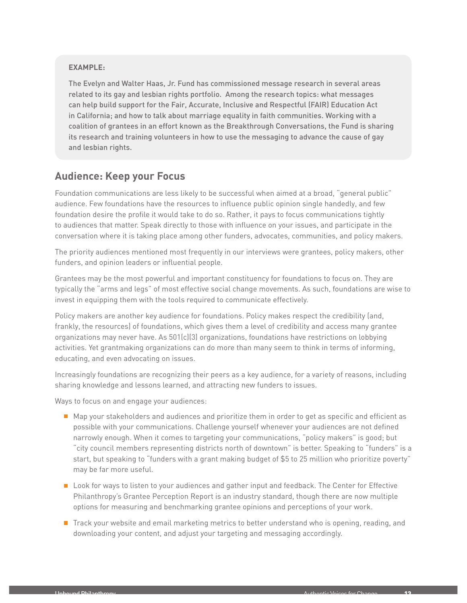#### **EXAMPLE:**

The Evelyn and Walter Haas, Jr. Fund has commissioned message research in several areas related to its gay and lesbian rights portfolio. Among the research topics: what messages can help build support for the Fair, Accurate, Inclusive and Respectful (FAIR) Education Act in California; and how to talk about marriage equality in faith communities. Working with a coalition of grantees in an effort known as the Breakthrough Conversations, the Fund is sharing its research and training volunteers in how to use the messaging to advance the cause of gay and lesbian rights.

## **Audience: Keep your Focus**

Foundation communications are less likely to be successful when aimed at a broad, "general public" audience. Few foundations have the resources to influence public opinion single handedly, and few foundation desire the profile it would take to do so. Rather, it pays to focus communications tightly to audiences that matter. Speak directly to those with influence on your issues, and participate in the conversation where it is taking place among other funders, advocates, communities, and policy makers.

The priority audiences mentioned most frequently in our interviews were grantees, policy makers, other funders, and opinion leaders or influential people.

Grantees may be the most powerful and important constituency for foundations to focus on. They are typically the "arms and legs" of most effective social change movements. As such, foundations are wise to invest in equipping them with the tools required to communicate effectively.

Policy makers are another key audience for foundations. Policy makes respect the credibility (and, frankly, the resources) of foundations, which gives them a level of credibility and access many grantee organizations may never have. As 501(c)(3) organizations, foundations have restrictions on lobbying activities. Yet grantmaking organizations can do more than many seem to think in terms of informing, educating, and even advocating on issues.

Increasingly foundations are recognizing their peers as a key audience, for a variety of reasons, including sharing knowledge and lessons learned, and attracting new funders to issues.

Ways to focus on and engage your audiences:

- Map your stakeholders and audiences and prioritize them in order to get as specific and efficient as possible with your communications. Challenge yourself whenever your audiences are not defined narrowly enough. When it comes to targeting your communications, "policy makers" is good; but "city council members representing districts north of downtown" is better. Speaking to "funders" is a start, but speaking to "funders with a grant making budget of \$5 to 25 million who prioritize poverty" may be far more useful.
- **Look for ways to listen to your audiences and gather input and feedback. The Center for Effective** Philanthropy's Grantee Perception Report is an industry standard, though there are now multiple options for measuring and benchmarking grantee opinions and perceptions of your work.
- Track your website and email marketing metrics to better understand who is opening, reading, and downloading your content, and adjust your targeting and messaging accordingly.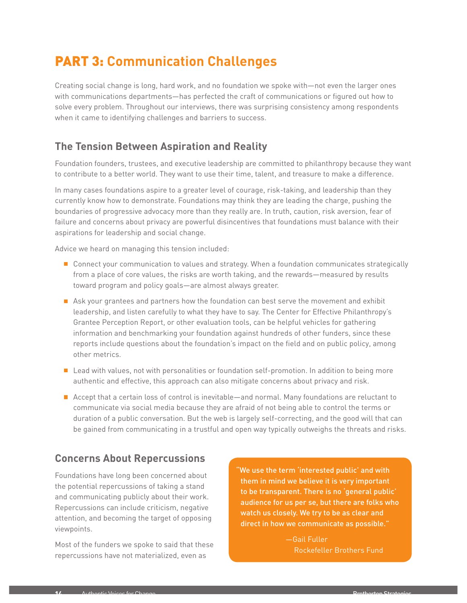# PART 3: **Communication Challenges**

Creating social change is long, hard work, and no foundation we spoke with—not even the larger ones with communications departments—has perfected the craft of communications or figured out how to solve every problem. Throughout our interviews, there was surprising consistency among respondents when it came to identifying challenges and barriers to success.

## **The Tension Between Aspiration and Reality**

Foundation founders, trustees, and executive leadership are committed to philanthropy because they want to contribute to a better world. They want to use their time, talent, and treasure to make a difference.

In many cases foundations aspire to a greater level of courage, risk-taking, and leadership than they currently know how to demonstrate. Foundations may think they are leading the charge, pushing the boundaries of progressive advocacy more than they really are. In truth, caution, risk aversion, fear of failure and concerns about privacy are powerful disincentives that foundations must balance with their aspirations for leadership and social change.

Advice we heard on managing this tension included:

- Connect your communication to values and strategy. When a foundation communicates strategically from a place of core values, the risks are worth taking, and the rewards—measured by results toward program and policy goals—are almost always greater.
- Ask your grantees and partners how the foundation can best serve the movement and exhibit leadership, and listen carefully to what they have to say. The Center for Effective Philanthropy's Grantee Perception Report, or other evaluation tools, can be helpful vehicles for gathering information and benchmarking your foundation against hundreds of other funders, since these reports include questions about the foundation's impact on the field and on public policy, among other metrics.
- Lead with values, not with personalities or foundation self-promotion. In addition to being more authentic and effective, this approach can also mitigate concerns about privacy and risk.
- Accept that a certain loss of control is inevitable—and normal. Many foundations are reluctant to communicate via social media because they are afraid of not being able to control the terms or duration of a public conversation. But the web is largely self-correcting, and the good will that can be gained from communicating in a trustful and open way typically outweighs the threats and risks.

## **Concerns About Repercussions**

Foundations have long been concerned about the potential repercussions of taking a stand and communicating publicly about their work. Repercussions can include criticism, negative attention, and becoming the target of opposing viewpoints.

Most of the funders we spoke to said that these repercussions have not materialized, even as

"We use the term 'interested public' and with them in mind we believe it is very important to be transparent. There is no 'general public' audience for us per se, but there are folks who watch us closely. We try to be as clear and direct in how we communicate as possible."

> —Gail Fuller Rockefeller Brothers Fund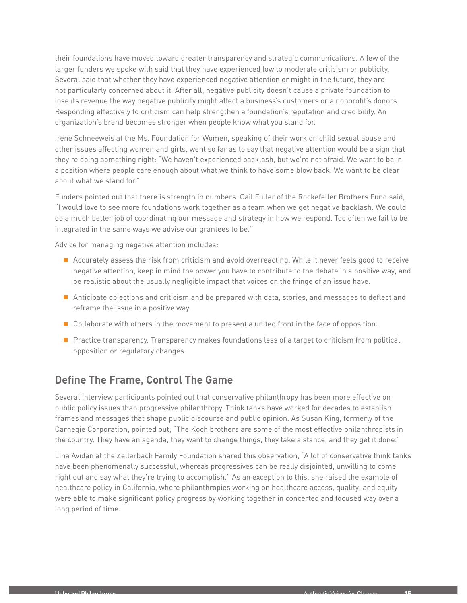their foundations have moved toward greater transparency and strategic communications. A few of the larger funders we spoke with said that they have experienced low to moderate criticism or publicity. Several said that whether they have experienced negative attention or might in the future, they are not particularly concerned about it. After all, negative publicity doesn't cause a private foundation to lose its revenue the way negative publicity might affect a business's customers or a nonprofit's donors. Responding effectively to criticism can help strengthen a foundation's reputation and credibility. An organization's brand becomes stronger when people know what you stand for.

Irene Schneeweis at the Ms. Foundation for Women, speaking of their work on child sexual abuse and other issues affecting women and girls, went so far as to say that negative attention would be a sign that they're doing something right: "We haven't experienced backlash, but we're not afraid. We want to be in a position where people care enough about what we think to have some blow back. We want to be clear about what we stand for."

Funders pointed out that there is strength in numbers. Gail Fuller of the Rockefeller Brothers Fund said, "I would love to see more foundations work together as a team when we get negative backlash. We could do a much better job of coordinating our message and strategy in how we respond. Too often we fail to be integrated in the same ways we advise our grantees to be."

Advice for managing negative attention includes:

- Accurately assess the risk from criticism and avoid overreacting. While it never feels good to receive negative attention, keep in mind the power you have to contribute to the debate in a positive way, and be realistic about the usually negligible impact that voices on the fringe of an issue have.
- Anticipate objections and criticism and be prepared with data, stories, and messages to deflect and reframe the issue in a positive way.
- Collaborate with others in the movement to present a united front in the face of opposition.
- **Practice transparency. Transparency makes foundations less of a target to criticism from political** opposition or regulatory changes.

## **Define The Frame, Control The Game**

Several interview participants pointed out that conservative philanthropy has been more effective on public policy issues than progressive philanthropy. Think tanks have worked for decades to establish frames and messages that shape public discourse and public opinion. As Susan King, formerly of the Carnegie Corporation, pointed out, "The Koch brothers are some of the most effective philanthropists in the country. They have an agenda, they want to change things, they take a stance, and they get it done."

Lina Avidan at the Zellerbach Family Foundation shared this observation, "A lot of conservative think tanks have been phenomenally successful, whereas progressives can be really disjointed, unwilling to come right out and say what they're trying to accomplish." As an exception to this, she raised the example of healthcare policy in California, where philanthropies working on healthcare access, quality, and equity were able to make significant policy progress by working together in concerted and focused way over a long period of time.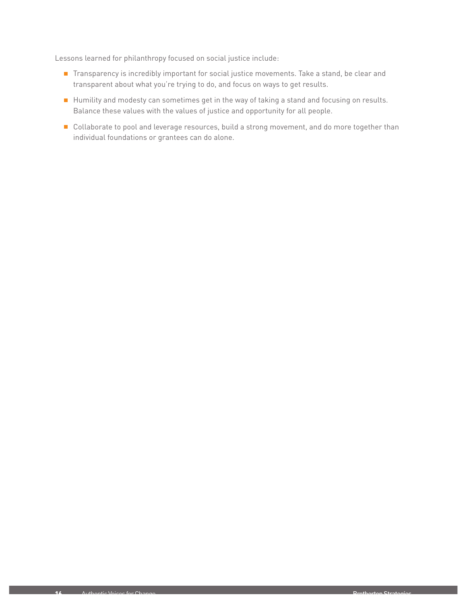Lessons learned for philanthropy focused on social justice include:

- Transparency is incredibly important for social justice movements. Take a stand, be clear and transparent about what you're trying to do, and focus on ways to get results.
- Humility and modesty can sometimes get in the way of taking a stand and focusing on results. Balance these values with the values of justice and opportunity for all people.
- Collaborate to pool and leverage resources, build a strong movement, and do more together than individual foundations or grantees can do alone.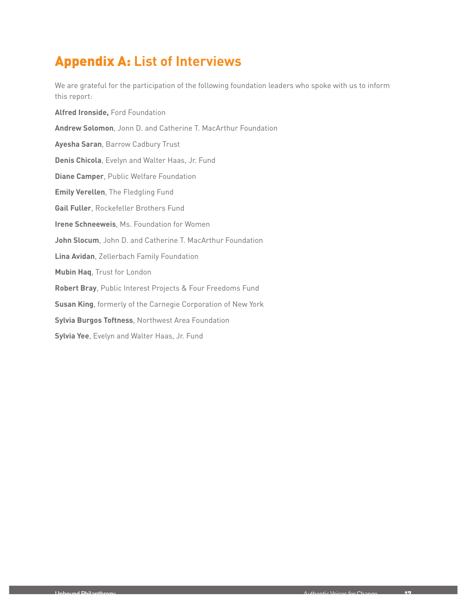# Appendix A: **List of Interviews**

We are grateful for the participation of the following foundation leaders who spoke with us to inform this report:

**Alfred Ironside,** Ford Foundation **Andrew Solomon**, Jonn D. and Catherine T. MacArthur Foundation **Ayesha Saran**, Barrow Cadbury Trust **Denis Chicola**, Evelyn and Walter Haas, Jr. Fund **Diane Camper**, Public Welfare Foundation **Emily Verellen**, The Fledgling Fund **Gail Fuller**, Rockefeller Brothers Fund **Irene Schneeweis**, Ms. Foundation for Women **John Slocum**, John D. and Catherine T. MacArthur Foundation **Lina Avidan**, Zellerbach Family Foundation **Mubin Haq**, Trust for London **Robert Bray**, Public Interest Projects & Four Freedoms Fund **Susan King**, formerly of the Carnegie Corporation of New York **Sylvia Burgos Toftness**, Northwest Area Foundation **Sylvia Yee**, Evelyn and Walter Haas, Jr. Fund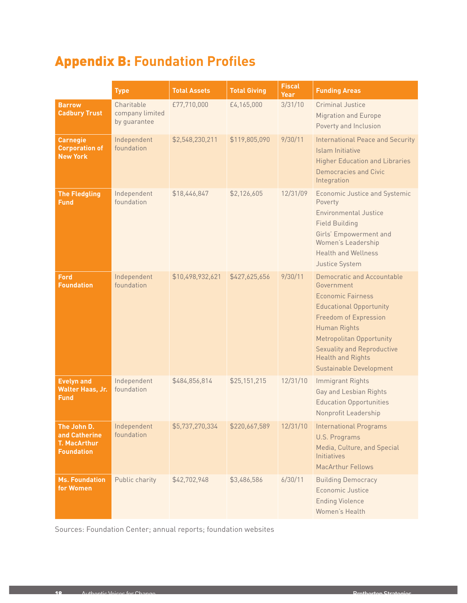# Appendix B: **Foundation Profiles**

|                                                                          | <b>Type</b>                                   | <b>Total Assets</b> | <b>Total Giving</b> | <b>Fiscal</b><br><b>Year</b> | <b>Funding Areas</b>                                                                                                                                                                                                                                                                         |
|--------------------------------------------------------------------------|-----------------------------------------------|---------------------|---------------------|------------------------------|----------------------------------------------------------------------------------------------------------------------------------------------------------------------------------------------------------------------------------------------------------------------------------------------|
| <b>Barrow</b><br><b>Cadbury Trust</b>                                    | Charitable<br>company limited<br>by guarantee | £77,710,000         | £4,165,000          | 3/31/10                      | <b>Criminal Justice</b><br><b>Migration and Europe</b><br>Poverty and Inclusion                                                                                                                                                                                                              |
| <b>Carnegie</b><br><b>Corporation of</b><br><b>New York</b>              | Independent<br>foundation                     | \$2,548,230,211     | \$119,805,090       | 9/30/11                      | <b>International Peace and Security</b><br>Islam Initiative<br><b>Higher Education and Libraries</b><br>Democracies and Civic<br>Integration                                                                                                                                                 |
| <b>The Fledgling</b><br><b>Fund</b>                                      | Independent<br>foundation                     | \$18,446,847        | \$2,126,605         | 12/31/09                     | <b>Economic Justice and Systemic</b><br>Poverty<br><b>Environmental Justice</b><br><b>Field Building</b><br>Girls' Empowerment and<br>Women's Leadership<br><b>Health and Wellness</b><br>Justice System                                                                                     |
| <b>Ford</b><br><b>Foundation</b>                                         | Independent<br>foundation                     | \$10,498,932,621    | \$427,625,656       | 9/30/11                      | <b>Democratic and Accountable</b><br>Government<br>Economic Fairness<br><b>Educational Opportunity</b><br>Freedom of Expression<br><b>Human Rights</b><br><b>Metropolitan Opportunity</b><br><b>Sexuality and Reproductive</b><br><b>Health and Rights</b><br><b>Sustainable Development</b> |
| <b>Evelyn and</b><br>Walter Haas, Jr.<br><b>Fund</b>                     | Independent<br>foundation                     | \$484,856,814       | \$25,151,215        | 12/31/10                     | Immigrant Rights<br>Gay and Lesbian Rights<br><b>Education Opportunities</b><br>Nonprofit Leadership                                                                                                                                                                                         |
| The John D.<br>and Catherine<br><b>T. MacArthur</b><br><b>Foundation</b> | Independent<br>foundation                     | \$5,737,270,334     | \$220,667,589       | 12/31/10                     | <b>International Programs</b><br>U.S. Programs<br>Media, Culture, and Special<br><b>Initiatives</b><br><b>MacArthur Fellows</b>                                                                                                                                                              |
| <b>Ms. Foundation</b><br>for Women                                       | Public charity                                | \$42,702,948        | \$3,486,586         | 6/30/11                      | <b>Building Democracy</b><br>Economic Justice<br><b>Ending Violence</b><br>Women's Health                                                                                                                                                                                                    |

Sources: Foundation Center; annual reports; foundation websites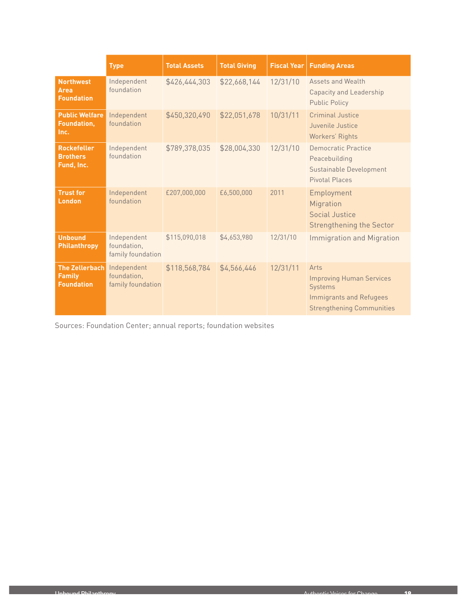|                                                             | <b>Type</b>                                     | <b>Total Assets</b> | <b>Total Giving</b> | <b>Fiscal Year</b> | <b>Funding Areas</b>                                                                                                            |
|-------------------------------------------------------------|-------------------------------------------------|---------------------|---------------------|--------------------|---------------------------------------------------------------------------------------------------------------------------------|
| <b>Northwest</b><br>Area<br><b>Foundation</b>               | Independent<br>foundation                       | \$426,444,303       | \$22,668,144        | 12/31/10           | Assets and Wealth<br><b>Capacity and Leadership</b><br><b>Public Policy</b>                                                     |
| <b>Public Welfare</b><br><b>Foundation,</b><br>Inc.         | Independent<br>foundation                       | \$450,320,490       | \$22,051,678        | 10/31/11           | <b>Criminal Justice</b><br>Juvenile Justice<br>Workers' Rights                                                                  |
| <b>Rockefeller</b><br><b>Brothers</b><br>Fund, Inc.         | Independent<br>foundation                       | \$789,378,035       | \$28,004,330        | 12/31/10           | Democratic Practice<br>Peacebuilding<br>Sustainable Development<br>Pivotal Places                                               |
| <b>Trust for</b><br><b>London</b>                           | Independent<br>foundation                       | £207,000,000        | £6,500,000          | 2011               | Employment<br>Migration<br><b>Social Justice</b><br><b>Strengthening the Sector</b>                                             |
| <b>Unbound</b><br><b>Philanthropy</b>                       | Independent<br>foundation,<br>family foundation | \$115,090,018       | \$4,653,980         | 12/31/10           | <b>Immigration and Migration</b>                                                                                                |
| <b>The Zellerbach</b><br><b>Family</b><br><b>Foundation</b> | Independent<br>foundation.<br>family foundation | \$118,568,784       | \$4,566,446         | 12/31/11           | Arts<br><b>Improving Human Services</b><br><b>Systems</b><br><b>Immigrants and Refugees</b><br><b>Strengthening Communities</b> |

Sources: Foundation Center; annual reports; foundation websites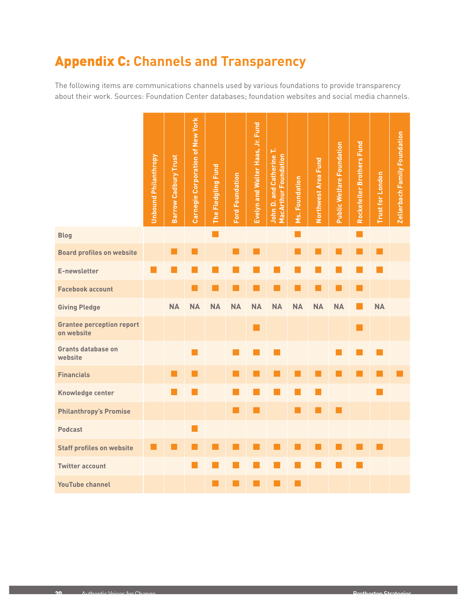# Appendix C: **Channels and Transparency**

The following items are communications channels used by various foundations to provide transparency about their work. Sources: Foundation Center databases; foundation websites and social media channels.

|                                                | <b>Unbound Philanthropy</b> | Barrow Cadbury Trust | <b>Carnegie Corporation of New York</b> | The Fledgling Fund | <b>Ford Foundation</b> | Evelyn and Walter Haas, Jr. Fund | John D. and Catherine T.<br>MacArthur Foundation | Ms. Foundation              | Northwest Area Fund | <b>Public Welfare Foundation</b> | Rockefeller Brothers Fund | Trust for London | <b>Zellerbach Family Foundation</b> |
|------------------------------------------------|-----------------------------|----------------------|-----------------------------------------|--------------------|------------------------|----------------------------------|--------------------------------------------------|-----------------------------|---------------------|----------------------------------|---------------------------|------------------|-------------------------------------|
| <b>Blog</b>                                    |                             |                      |                                         |                    |                        |                                  |                                                  | $\mathcal{L}_{\mathcal{A}}$ |                     |                                  | Г                         |                  |                                     |
| <b>Board profiles on website</b>               |                             |                      |                                         |                    |                        |                                  |                                                  |                             |                     |                                  |                           |                  |                                     |
| E-newsletter                                   |                             |                      |                                         |                    |                        |                                  |                                                  |                             |                     |                                  |                           |                  |                                     |
| <b>Facebook account</b>                        |                             |                      | <b>College</b>                          |                    |                        | <b>Service Service</b>           |                                                  |                             |                     |                                  | <b>CONTRACTOR</b>         |                  |                                     |
| <b>Giving Pledge</b>                           |                             | <b>NA</b>            | <b>NA</b>                               | <b>NA</b>          | <b>NA</b>              | <b>NA</b>                        | <b>NA</b>                                        | <b>NA</b>                   | <b>NA</b>           | <b>NA</b>                        |                           | <b>NA</b>        |                                     |
| <b>Grantee perception report</b><br>on website |                             |                      |                                         |                    |                        | . .                              |                                                  |                             |                     |                                  | И.                        |                  |                                     |
| <b>Grants database on</b><br>website           |                             |                      |                                         |                    |                        |                                  |                                                  |                             |                     |                                  |                           |                  |                                     |
| <b>Financials</b>                              |                             |                      |                                         |                    |                        |                                  |                                                  |                             |                     |                                  |                           |                  |                                     |
| <b>Knowledge center</b>                        |                             |                      |                                         |                    |                        |                                  |                                                  |                             |                     |                                  |                           |                  |                                     |
| <b>Philanthropy's Promise</b>                  |                             |                      |                                         |                    |                        |                                  |                                                  |                             |                     |                                  |                           |                  |                                     |
| <b>Podcast</b>                                 |                             |                      |                                         |                    |                        |                                  |                                                  |                             |                     |                                  |                           |                  |                                     |
| <b>Staff profiles on website</b>               |                             |                      |                                         |                    |                        |                                  |                                                  |                             |                     |                                  |                           |                  |                                     |
| <b>Twitter account</b>                         |                             |                      | $\sim$                                  |                    |                        |                                  |                                                  |                             |                     |                                  |                           |                  |                                     |
| <b>YouTube channel</b>                         |                             |                      |                                         |                    |                        |                                  |                                                  |                             |                     |                                  |                           |                  |                                     |